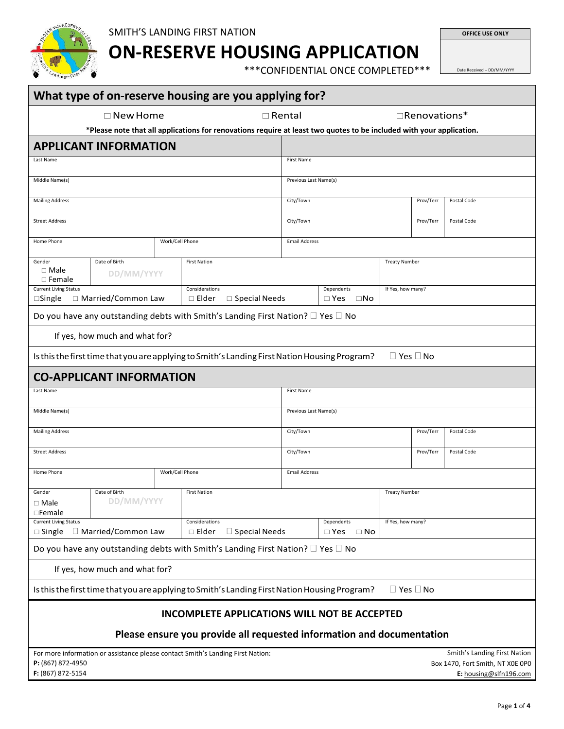

**ON-RESERVE HOUSING APPLICATION**

\*\*\*CONFIDENTIAL ONCE COMPLETED\*\*\*

Date Received – DD/MM/YYYY

**OFFICE USE ONLY**

|                                                  |                                         |  | What type of on-reserve housing are you applying for?                                                                |                       |                                          |                      |                      |                                                                                            |
|--------------------------------------------------|-----------------------------------------|--|----------------------------------------------------------------------------------------------------------------------|-----------------------|------------------------------------------|----------------------|----------------------|--------------------------------------------------------------------------------------------|
|                                                  | $\square$ New Home                      |  |                                                                                                                      | $\Box$ Rental         |                                          |                      | $\Box$ Renovations*  |                                                                                            |
|                                                  |                                         |  | *Please note that all applications for renovations require at least two quotes to be included with your application. |                       |                                          |                      |                      |                                                                                            |
|                                                  | <b>APPLICANT INFORMATION</b>            |  |                                                                                                                      |                       |                                          |                      |                      |                                                                                            |
| Last Name                                        |                                         |  |                                                                                                                      | First Name            |                                          |                      |                      |                                                                                            |
| Middle Name(s)                                   |                                         |  |                                                                                                                      |                       | Previous Last Name(s)                    |                      |                      |                                                                                            |
| <b>Mailing Address</b>                           |                                         |  |                                                                                                                      | City/Town             | Prov/Terr<br>Postal Code                 |                      |                      |                                                                                            |
| <b>Street Address</b>                            |                                         |  |                                                                                                                      | City/Town             |                                          |                      |                      | Postal Code                                                                                |
| Work/Cell Phone<br>Home Phone                    |                                         |  |                                                                                                                      |                       | <b>Email Address</b>                     |                      |                      |                                                                                            |
|                                                  |                                         |  |                                                                                                                      |                       |                                          |                      |                      |                                                                                            |
| Gender<br>$\Box$ Male<br>$\Box$ Female           | Date of Birth<br>DD/MM/YYYY             |  | <b>First Nation</b>                                                                                                  |                       |                                          | <b>Treaty Number</b> |                      |                                                                                            |
| <b>Current Living Status</b><br>$\square$ Single | □ Married/Common Law                    |  | Considerations<br>$\square$ Special Needs<br>$\square$ Elder                                                         |                       | Dependents<br>$\square$ No<br>$\Box$ Yes |                      | If Yes, how many?    |                                                                                            |
|                                                  |                                         |  | Do you have any outstanding debts with Smith's Landing First Nation? $\square$ Yes $\square$ No                      |                       |                                          |                      |                      |                                                                                            |
|                                                  | If yes, how much and what for?          |  |                                                                                                                      |                       |                                          |                      |                      |                                                                                            |
|                                                  |                                         |  | Is this the first time that you are applying to Smith's Landing First Nation Housing Program?                        |                       |                                          |                      | $\Box$ Yes $\Box$ No |                                                                                            |
|                                                  | <b>CO-APPLICANT INFORMATION</b>         |  |                                                                                                                      |                       |                                          |                      |                      |                                                                                            |
| Last Name                                        |                                         |  |                                                                                                                      | First Name            |                                          |                      |                      |                                                                                            |
| Middle Name(s)                                   |                                         |  |                                                                                                                      | Previous Last Name(s) |                                          |                      |                      |                                                                                            |
| <b>Mailing Address</b>                           |                                         |  |                                                                                                                      | City/Town             |                                          |                      |                      | Postal Code                                                                                |
| <b>Street Address</b>                            |                                         |  |                                                                                                                      | City/Town             | Prov/Terr<br>Postal Code                 |                      |                      |                                                                                            |
| Work/Cell Phone<br>Home Phone                    |                                         |  |                                                                                                                      |                       | <b>Email Address</b>                     |                      |                      |                                                                                            |
|                                                  |                                         |  |                                                                                                                      |                       |                                          |                      |                      |                                                                                            |
| Gender<br>$\Box$ Male<br>□Female                 | Date of Birth<br>DD/MM/YYYY             |  | <b>First Nation</b>                                                                                                  |                       |                                          | <b>Treaty Number</b> |                      |                                                                                            |
| <b>Current Living Status</b>                     | $\Box$ Single $\Box$ Married/Common Law |  | Considerations<br>$\square$ Special Needs<br>$\Box$ Elder                                                            |                       | Dependents<br>$\square$ No<br>$\Box$ Yes | If Yes, how many?    |                      |                                                                                            |
|                                                  |                                         |  | Do you have any outstanding debts with Smith's Landing First Nation? $\square$ Yes $\square$ No                      |                       |                                          |                      |                      |                                                                                            |
|                                                  | If yes, how much and what for?          |  |                                                                                                                      |                       |                                          |                      |                      |                                                                                            |
|                                                  |                                         |  | Is this the first time that you are applying to Smith's Landing First Nation Housing Program?                        |                       |                                          |                      | $\Box$ Yes $\Box$ No |                                                                                            |
|                                                  |                                         |  | <b>INCOMPLETE APPLICATIONS WILL NOT BE ACCEPTED</b>                                                                  |                       |                                          |                      |                      |                                                                                            |
|                                                  |                                         |  | Please ensure you provide all requested information and documentation                                                |                       |                                          |                      |                      |                                                                                            |
|                                                  |                                         |  |                                                                                                                      |                       |                                          |                      |                      |                                                                                            |
| P: (867) 872-4950<br>F: (867) 872-5154           |                                         |  | For more information or assistance please contact Smith's Landing First Nation:                                      |                       |                                          |                      |                      | Smith's Landing First Nation<br>Box 1470, Fort Smith, NT X0E 0P0<br>E: housing@slfn196.com |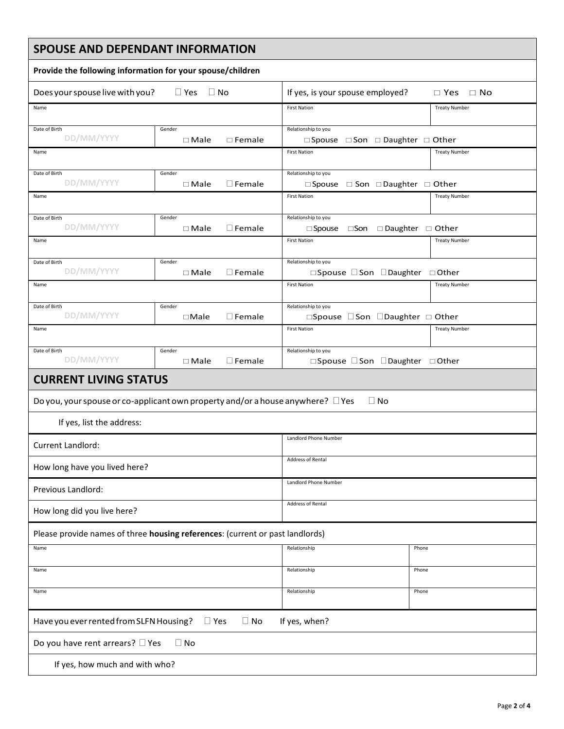| <b>SPOUSE AND DEPENDANT INFORMATION</b>                                              |                                              |                                                                              |                                         |  |  |
|--------------------------------------------------------------------------------------|----------------------------------------------|------------------------------------------------------------------------------|-----------------------------------------|--|--|
| Provide the following information for your spouse/children                           |                                              |                                                                              |                                         |  |  |
| Does your spouse live with you?                                                      | $\Box$ Yes<br>$\Box$ No                      | If yes, is your spouse employed?                                             | $\Box$ No<br>$\Box$ Yes                 |  |  |
| Name                                                                                 |                                              | <b>First Nation</b>                                                          | <b>Treaty Number</b>                    |  |  |
| Date of Birth<br>DD/MM/YYYY                                                          | Gender<br>$\Box$ Female<br>$\Box$ Male       | Relationship to you<br>$\Box$ Spouse $\Box$ Son $\Box$ Daughter $\Box$ Other |                                         |  |  |
| Name                                                                                 |                                              | <b>First Nation</b>                                                          | <b>Treaty Number</b>                    |  |  |
| Date of Birth<br>DD/MM/YYYY                                                          | Gender<br>$\square$ Female<br>$\Box$ Male    | Relationship to you<br>$\Box$ Spouse $\Box$ Son $\Box$ Daughter $\Box$ Other |                                         |  |  |
| Name                                                                                 |                                              | <b>First Nation</b>                                                          | <b>Treaty Number</b>                    |  |  |
| Date of Birth<br>DD/MM/YYYY                                                          | Gender<br>$\square$ Female<br>$\Box$ Male    | Relationship to you<br>$\square$ Spouse                                      | $\Box$ Son $\Box$ Daughter $\Box$ Other |  |  |
| Name                                                                                 |                                              | <b>First Nation</b>                                                          | <b>Treaty Number</b>                    |  |  |
| Date of Birth<br>DD/MM/YYYY                                                          | Gender<br>$\square$ Female<br>$\Box$ Male    | Relationship to you<br>□Spouse □Son □Daughter □Other                         |                                         |  |  |
| Name                                                                                 |                                              | <b>First Nation</b>                                                          | <b>Treaty Number</b>                    |  |  |
| Date of Birth<br>DD/MM/YYYY                                                          | Gender<br>$\square$ Female<br>$\square$ Male | Relationship to you<br>□Spouse □ Son □ Daughter □ Other                      |                                         |  |  |
| Name                                                                                 |                                              | <b>First Nation</b>                                                          | <b>Treaty Number</b>                    |  |  |
| Date of Birth<br>DD/MM/YYYY                                                          | Gender<br>$\square$ Female<br>$\Box$ Male    | Relationship to you<br>□Spouse □Son □Daughter □Other                         |                                         |  |  |
| <b>CURRENT LIVING STATUS</b>                                                         |                                              |                                                                              |                                         |  |  |
| Do you, your spouse or co-applicant own property and/or a house anywhere? $\Box$ Yes |                                              | $\Box$ No                                                                    |                                         |  |  |
| If yes, list the address:                                                            |                                              |                                                                              |                                         |  |  |
| Current Landlord:                                                                    |                                              | Landlord Phone Number                                                        |                                         |  |  |
| How long have you lived here?                                                        |                                              | Address of Rental                                                            |                                         |  |  |
| Previous Landlord:                                                                   |                                              | Landlord Phone Number                                                        |                                         |  |  |
| How long did you live here?                                                          |                                              | Address of Rental                                                            |                                         |  |  |
| Please provide names of three housing references: (current or past landlords)        |                                              |                                                                              |                                         |  |  |
| Name                                                                                 |                                              | Relationship                                                                 | Phone                                   |  |  |
| Name                                                                                 |                                              | Relationship                                                                 | Phone                                   |  |  |
| Name                                                                                 |                                              | Relationship                                                                 | Phone                                   |  |  |
| Have you ever rented from SLFN Housing?<br>If yes, when?<br>$\Box$ Yes<br>$\Box$ No  |                                              |                                                                              |                                         |  |  |
| Do you have rent arrears? □ Yes<br>$\Box$ No                                         |                                              |                                                                              |                                         |  |  |
| If yes, how much and with who?                                                       |                                              |                                                                              |                                         |  |  |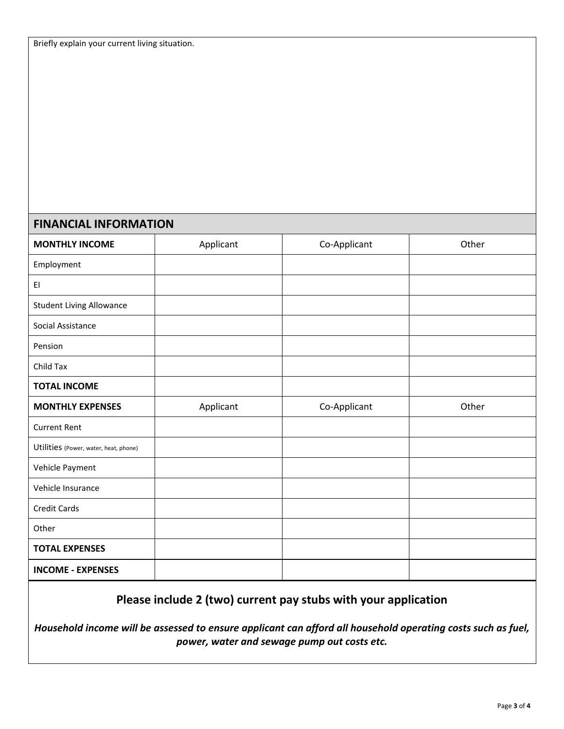## **FINANCIAL INFORMATION**

| <b>MONTHLY INCOME</b>                 | Applicant | Co-Applicant | Other |
|---------------------------------------|-----------|--------------|-------|
| Employment                            |           |              |       |
| EI                                    |           |              |       |
| <b>Student Living Allowance</b>       |           |              |       |
| Social Assistance                     |           |              |       |
| Pension                               |           |              |       |
| Child Tax                             |           |              |       |
| <b>TOTAL INCOME</b>                   |           |              |       |
| <b>MONTHLY EXPENSES</b>               | Applicant | Co-Applicant | Other |
| <b>Current Rent</b>                   |           |              |       |
| Utilities (Power, water, heat, phone) |           |              |       |
| Vehicle Payment                       |           |              |       |
| Vehicle Insurance                     |           |              |       |
| <b>Credit Cards</b>                   |           |              |       |
| Other                                 |           |              |       |
| <b>TOTAL EXPENSES</b>                 |           |              |       |
| <b>INCOME - EXPENSES</b>              |           |              |       |

## **Please include 2 (two) current pay stubs with your application**

*Household income will be assessed to ensure applicant can afford all household operating costs such as fuel, power, water and sewage pump out costs etc.*